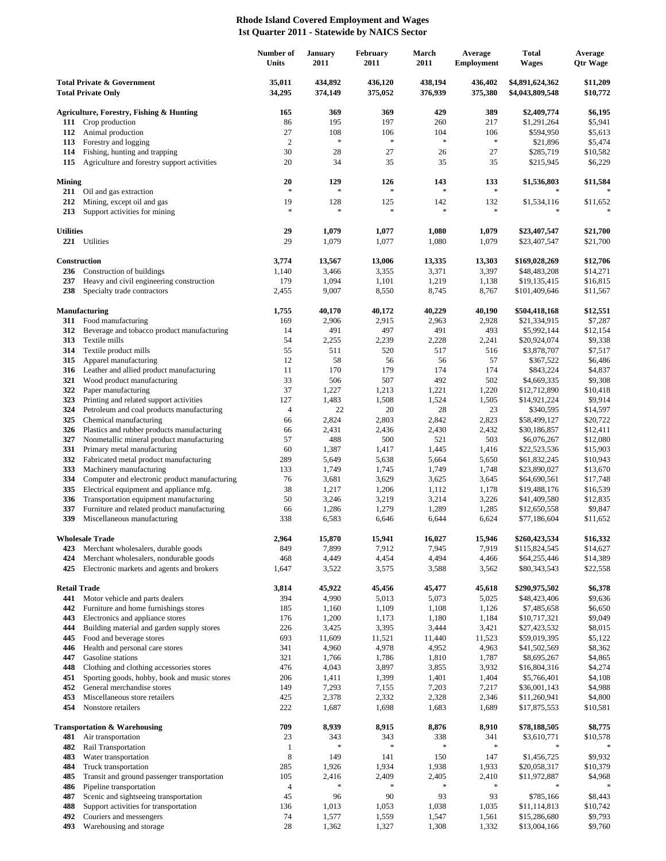## **Rhode Island Covered Employment and Wages 1st Quarter 2011 - Statewide by NAICS Sector**

|                                                                    |                                                                   | Number of<br>Units | <b>January</b><br>2011 | February<br>2011   | March<br>2011      | Average<br><b>Employment</b> | <b>Total</b><br><b>Wages</b>       | Average<br><b>Qtr Wage</b> |
|--------------------------------------------------------------------|-------------------------------------------------------------------|--------------------|------------------------|--------------------|--------------------|------------------------------|------------------------------------|----------------------------|
| <b>Total Private &amp; Government</b><br><b>Total Private Only</b> |                                                                   | 35,011<br>34,295   | 434,892<br>374,149     | 436,120<br>375,052 | 438,194<br>376,939 | 436,402<br>375,380           | \$4,891,624,362<br>\$4,043,809,548 | \$11,209<br>\$10,772       |
|                                                                    | <b>Agriculture, Forestry, Fishing &amp; Hunting</b>               | 165                | 369                    | 369                | 429                | 389                          | \$2,409,774                        | \$6,195                    |
| 111                                                                | Crop production                                                   | 86                 | 195                    | 197                | 260                | 217                          | \$1,291,264                        | \$5,941                    |
| 112                                                                | Animal production                                                 | 27                 | 108                    | 106                | 104                | 106                          | \$594,950                          | \$5,613                    |
| 113                                                                | Forestry and logging                                              | $\overline{2}$     | $\ast$                 | $\ast$             | $\ast$             | $\ast$                       | \$21,896                           | \$5,474                    |
| 114                                                                | Fishing, hunting and trapping                                     | 30                 | 28                     | 27                 | 26                 | 27                           | \$285,719                          | \$10,582                   |
| 115                                                                | Agriculture and forestry support activities                       | 20                 | 34                     | 35                 | 35                 | 35                           | \$215,945                          | \$6,229                    |
| Mining                                                             | 211 Oil and gas extraction                                        | 20<br>$\ast$       | 129<br>$\ast$          | 126<br>$\ast$      | 143<br>$\ast$      | 133<br>$\ast$                | \$1,536,803                        | \$11,584                   |
| 212                                                                | Mining, except oil and gas                                        | 19                 | 128                    | 125                | 142                | 132                          | \$1,534,116                        | \$11,652                   |
| 213                                                                | Support activities for mining                                     | $\ast$             | $\ast$                 | $\ast$             | $\ast$             | $\ast$                       |                                    |                            |
| <b>Utilities</b>                                                   | 221 Utilities                                                     | 29<br>29           | 1,079<br>1,079         | 1,077<br>1,077     | 1,080<br>1,080     | 1,079<br>1,079               | \$23,407,547<br>\$23,407,547       | \$21,700<br>\$21,700       |
| Construction                                                       |                                                                   | 3,774              | 13,567                 | 13,006             | 13,335             | 13,303                       | \$169,028,269                      | \$12,706                   |
| 236                                                                | Construction of buildings                                         | 1,140              | 3,466                  | 3,355              | 3,371              | 3,397                        | \$48,483,208                       | \$14,271                   |
| 237                                                                | Heavy and civil engineering construction                          | 179                | 1,094                  | 1,101              | 1,219              | 1,138                        | \$19,135,415                       | \$16,815                   |
| 238                                                                | Specialty trade contractors                                       | 2,455              | 9,007                  | 8,550              | 8,745              | 8,767                        | \$101,409,646                      | \$11,567                   |
|                                                                    | <b>Manufacturing</b>                                              | 1,755              | 40,170                 | 40,172             | 40,229             | 40,190                       | \$504,418,168                      | \$12,551                   |
| 311                                                                | Food manufacturing                                                | 169                | 2,906                  | 2,915              | 2,963              | 2,928                        | \$21,334,915                       | \$7,287                    |
| 312                                                                | Beverage and tobacco product manufacturing                        | 14                 | 491                    | 497                | 491                | 493                          | \$5,992,144                        | \$12,154                   |
| 313<br>314                                                         | Textile mills<br>Textile product mills                            | 54<br>55           | 2,255<br>511           | 2,239<br>520       | 2,228<br>517       | 2,241<br>516                 | \$20,924,074<br>\$3,878,707        | \$9,338<br>\$7,517         |
| 315                                                                | Apparel manufacturing                                             | 12                 | 58                     | 56                 | 56                 | 57                           | \$367,522                          | \$6,486                    |
| 316                                                                | Leather and allied product manufacturing                          | 11                 | 170                    | 179                | 174                | 174                          | \$843,224                          | \$4,837                    |
| 321                                                                | Wood product manufacturing                                        | 33                 | 506                    | 507                | 492                | 502                          | \$4,669,335                        | \$9,308                    |
| 322                                                                | Paper manufacturing                                               | 37                 | 1,227                  | 1,213              | 1,221              | 1,220                        | \$12,712,890                       | \$10,418                   |
| 323                                                                | Printing and related support activities                           | 127                | 1,483                  | 1,508              | 1,524              | 1,505                        | \$14,921,224                       | \$9,914                    |
| 324                                                                | Petroleum and coal products manufacturing                         | $\overline{4}$     | 22                     | 20                 | 28                 | 23                           | \$340,595                          | \$14,597                   |
| 325                                                                | Chemical manufacturing                                            | 66                 | 2,824                  | 2,803              | 2,842              | 2,823                        | \$58,499,127                       | \$20,722                   |
| 326                                                                | Plastics and rubber products manufacturing                        | 66                 | 2,431                  | 2,436              | 2,430              | 2,432                        | \$30,186,857                       | \$12,411                   |
| 327                                                                | Nonmetallic mineral product manufacturing                         | 57                 | 488                    | 500                | 521                | 503                          | \$6,076,267                        | \$12,080                   |
| 331<br>332                                                         | Primary metal manufacturing                                       | 60                 | 1,387                  | 1,417              | 1,445              | 1,416                        | \$22,523,536                       | \$15,903                   |
| 333                                                                | Fabricated metal product manufacturing<br>Machinery manufacturing | 289<br>133         | 5,649<br>1,749         | 5,638<br>1,745     | 5,664<br>1,749     | 5,650<br>1,748               | \$61,832,245<br>\$23,890,027       | \$10,943<br>\$13,670       |
| 334                                                                | Computer and electronic product manufacturing                     | 76                 | 3,681                  | 3,629              | 3,625              | 3,645                        | \$64,690,561                       | \$17,748                   |
| 335                                                                | Electrical equipment and appliance mfg.                           | 38                 | 1,217                  | 1,206              | 1,112              | 1,178                        | \$19,488,176                       | \$16,539                   |
| 336                                                                | Transportation equipment manufacturing                            | 50                 | 3,246                  | 3,219              | 3,214              | 3,226                        | \$41,409,580                       | \$12,835                   |
| 337                                                                | Furniture and related product manufacturing                       | 66                 | 1,286                  | 1,279              | 1,289              | 1,285                        | \$12,650,558                       | \$9,847                    |
| 339                                                                | Miscellaneous manufacturing                                       | 338                | 6,583                  | 6,646              | 6,644              | 6,624                        | \$77,186,604                       | \$11,652                   |
|                                                                    | <b>Wholesale Trade</b>                                            | 2,964              | 15,870                 | 15,941             | 16,027             | 15,946                       | \$260,423,534                      | \$16,332                   |
| 423                                                                | Merchant wholesalers, durable goods                               | 849                | 7,899                  | 7,912              | 7,945              | 7,919                        | \$115,824,545                      | \$14,627                   |
| 424                                                                | Merchant wholesalers, nondurable goods                            | 468                | 4,449                  | 4,454              | 4,494              | 4,466                        | \$64,255,446                       | \$14,389                   |
| 425                                                                | Electronic markets and agents and brokers                         | 1,647              | 3,522                  | 3,575              | 3,588              | 3,562                        | \$80,343,543                       | \$22,558                   |
| <b>Retail Trade</b><br>441                                         | Motor vehicle and parts dealers                                   | 3,814<br>394       | 45,922<br>4,990        | 45,456<br>5,013    | 45,477<br>5,073    | 45,618<br>5,025              | \$290,975,502<br>\$48,423,406      | \$6,378<br>\$9,636         |
| 442                                                                | Furniture and home furnishings stores                             | 185                | 1,160                  | 1,109              | 1,108              | 1,126                        | \$7,485,658                        | \$6,650                    |
| 443                                                                | Electronics and appliance stores                                  | 176                | 1,200                  | 1,173              | 1,180              | 1,184                        | \$10,717,321                       | \$9,049                    |
| 444                                                                | Building material and garden supply stores                        | 226                | 3,425                  | 3,395              | 3,444              | 3,421                        | \$27,423,532                       | \$8,015                    |
| 445                                                                | Food and beverage stores                                          | 693                | 11,609                 | 11,521             | 11,440             | 11,523                       | \$59,019,395                       | \$5,122                    |
| 446                                                                | Health and personal care stores                                   | 341                | 4,960                  | 4,978              | 4,952              | 4,963                        | \$41,502,569                       | \$8,362                    |
| 447                                                                | Gasoline stations                                                 | 321                | 1,766                  | 1,786              | 1,810              | 1,787                        | \$8,695,267                        | \$4,865                    |
| 448                                                                | Clothing and clothing accessories stores                          | 476                | 4,043                  | 3,897              | 3,855              | 3,932                        | \$16,804,316                       | \$4,274                    |
| 451                                                                | Sporting goods, hobby, book and music stores                      | 206                | 1,411                  | 1,399              | 1,401              | 1,404                        | \$5,766,401                        | \$4,108                    |
| 452                                                                | General merchandise stores                                        | 149                | 7,293                  | 7,155              | 7,203              | 7,217                        | \$36,001,143                       | \$4,988                    |
| 453<br>454                                                         | Miscellaneous store retailers<br>Nonstore retailers               | 425<br>222         | 2,378<br>1,687         | 2,332<br>1,698     | 2,328<br>1,683     | 2,346<br>1,689               | \$11,260,941<br>\$17,875,553       | \$4,800<br>\$10,581        |
|                                                                    | <b>Transportation &amp; Warehousing</b>                           | 709                | 8,939                  | 8,915              | 8,876              | 8,910                        | \$78,188,505                       | \$8,775                    |
| 481                                                                | Air transportation                                                | 23                 | 343                    | 343                | 338                | 341                          | \$3,610,771                        | \$10,578                   |
| 482                                                                | Rail Transportation                                               | $\mathbf{1}$       |                        | $\ast$             | $\ast$             | $\ast$                       |                                    |                            |
| 483                                                                | Water transportation                                              | 8                  | 149                    | 141                | 150                | 147                          | \$1,456,725                        | \$9,932                    |
| 484                                                                | Truck transportation                                              | 285                | 1,926                  | 1,934              | 1,938              | 1,933                        | \$20,058,317                       | \$10,379                   |
| 485                                                                | Transit and ground passenger transportation                       | 105                | 2,416                  | 2,409              | 2,405              | 2,410                        | \$11,972,887                       | \$4,968                    |
| 486                                                                | Pipeline transportation                                           | $\overline{4}$     |                        |                    | ∗                  | $\ast$                       | ∗                                  |                            |
| 487                                                                | Scenic and sightseeing transportation                             | 45                 | 96                     | 90                 | 93                 | 93                           | \$785,166                          | \$8,443                    |
| 488                                                                | Support activities for transportation                             | 136                | 1,013                  | 1,053              | 1,038              | 1,035                        | \$11,114,813                       | \$10,742                   |
| 492<br>493                                                         | Couriers and messengers                                           | 74<br>28           | 1,577                  | 1,559              | 1,547<br>1,308     | 1,561                        | \$15,286,680                       | \$9,793<br>\$9,760         |
|                                                                    | Warehousing and storage                                           |                    | 1,362                  | 1,327              |                    | 1,332                        | \$13,004,166                       |                            |